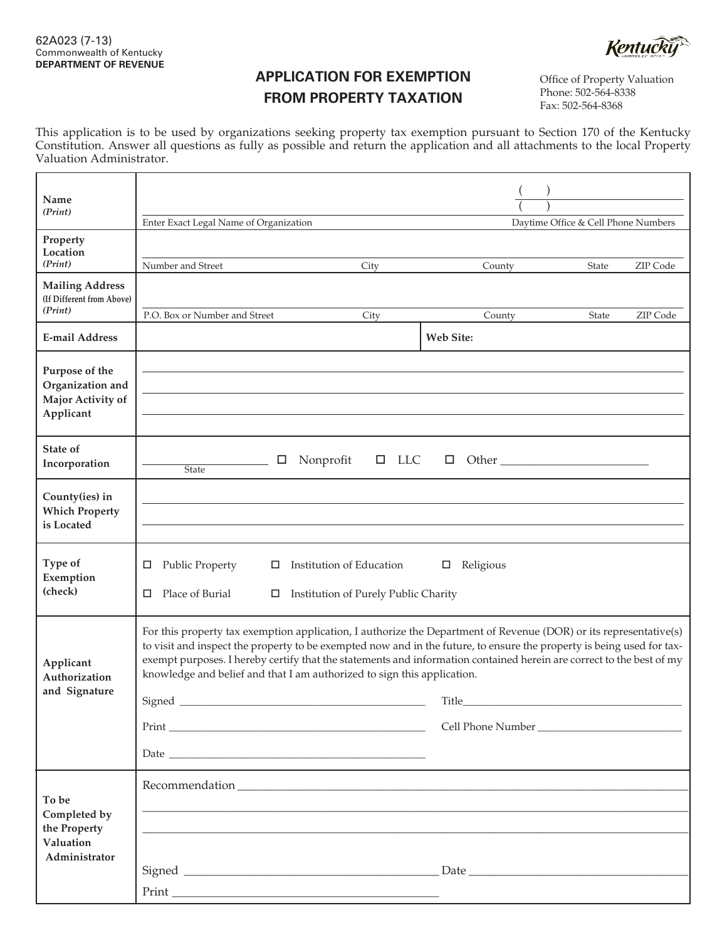**Kentucky** 

## **APPLICATION FOR EXEMPTION FROM PROPERTY TAXATION**

Office of Property Valuation Phone: 502-564-8338 Fax: 502-564-8368

This application is to be used by organizations seeking property tax exemption pursuant to Section 170 of the Kentucky Constitution. Answer all questions as fully as possible and return the application and all attachments to the local Property Valuation Administrator.

| Name<br>(Print)                                                      |                                                                                                                                                                                                                                                                                                                                                                                                                                                                |                                                                  |                            |                                     |          |
|----------------------------------------------------------------------|----------------------------------------------------------------------------------------------------------------------------------------------------------------------------------------------------------------------------------------------------------------------------------------------------------------------------------------------------------------------------------------------------------------------------------------------------------------|------------------------------------------------------------------|----------------------------|-------------------------------------|----------|
| Property                                                             | Enter Exact Legal Name of Organization                                                                                                                                                                                                                                                                                                                                                                                                                         |                                                                  |                            | Daytime Office & Cell Phone Numbers |          |
| Location<br>(Print)                                                  | Number and Street                                                                                                                                                                                                                                                                                                                                                                                                                                              | City                                                             | County                     | State                               | ZIP Code |
| <b>Mailing Address</b><br>(If Different from Above)                  |                                                                                                                                                                                                                                                                                                                                                                                                                                                                |                                                                  |                            |                                     |          |
| (Print)                                                              | P.O. Box or Number and Street                                                                                                                                                                                                                                                                                                                                                                                                                                  | City                                                             | County                     | State                               | ZIP Code |
| <b>E-mail Address</b>                                                |                                                                                                                                                                                                                                                                                                                                                                                                                                                                |                                                                  | Web Site:                  |                                     |          |
| Purpose of the<br>Organization and<br>Major Activity of<br>Applicant |                                                                                                                                                                                                                                                                                                                                                                                                                                                                |                                                                  |                            |                                     |          |
| State of<br>Incorporation                                            | Nonprofit<br>□<br><b>State</b>                                                                                                                                                                                                                                                                                                                                                                                                                                 | $\Box$ LLC                                                       |                            |                                     |          |
| County(ies) in<br><b>Which Property</b><br>is Located                |                                                                                                                                                                                                                                                                                                                                                                                                                                                                |                                                                  |                            |                                     |          |
| Type of<br>Exemption<br>(check)                                      | <b>Public Property</b><br>□<br>□<br>Place of Burial<br>◻<br>□                                                                                                                                                                                                                                                                                                                                                                                                  | Institution of Education<br>Institution of Purely Public Charity | Religious<br>□             |                                     |          |
| Applicant<br>Authorization<br>and Signature                          | For this property tax exemption application, I authorize the Department of Revenue (DOR) or its representative(s)<br>to visit and inspect the property to be exempted now and in the future, to ensure the property is being used for tax-<br>exempt purposes. I hereby certify that the statements and information contained herein are correct to the best of my<br>knowledge and belief and that I am authorized to sign this application.<br>Signed        |                                                                  | Title<br>Cell Phone Number |                                     |          |
| To be<br>Completed by<br>the Property<br>Valuation<br>Administrator  | $\begin{tabular}{c} \multicolumn{2}{c }{\textbf{Print}} \hspace{2.2cm} \textbf{\textcolor{red}{\textbf{--}}\hspace{-.2cm} \textbf{\textcolor{red}{\textbf{--}}\hspace{-.2cm} \textbf{\textcolor{red}{\textbf{--}}\hspace{-.2cm} \textbf{\textcolor{red}{\textbf{--}}\hspace{-.2cm} \textbf{\textcolor{red}{\textbf{--}}\hspace{-.2cm} \textbf{\textcolor{red}{\textbf{--}}\hspace{-.2cm} \textbf{\textcolor{red}{\textbf{--}}}}}}\hspace{2.5cm} \end{tabular}$ |                                                                  |                            |                                     |          |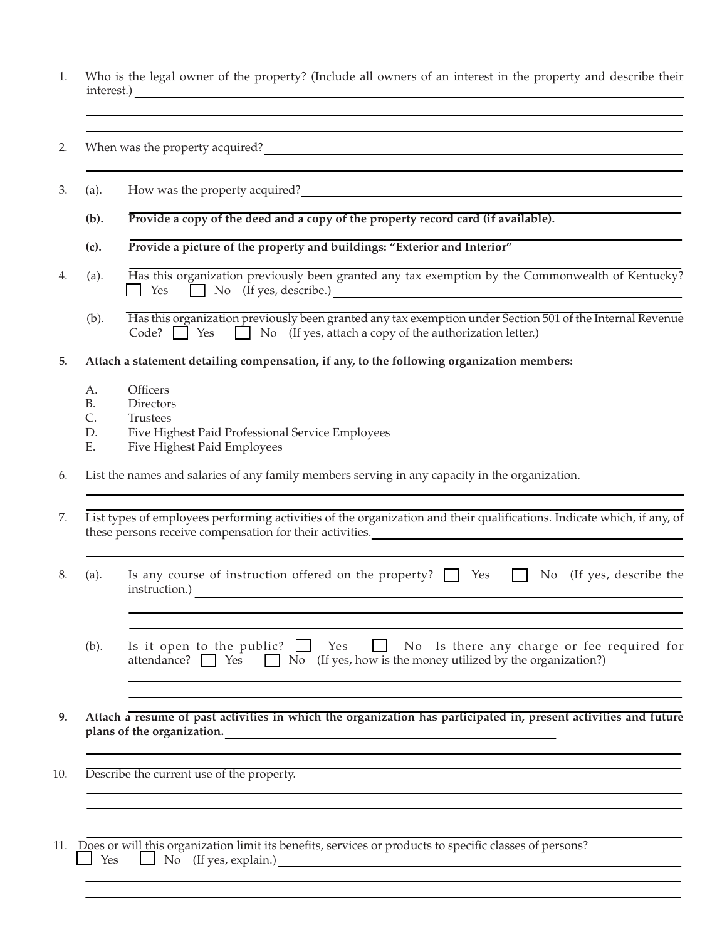- 1. Who is the legal owner of the property? (Include all owners of an interest in the property and describe their interest.)
- 2. When was the property acquired?
- 3. (a). How was the property acquired?

 **(b). Provide a copy of the deed and a copy of the property record card (if available).**

- **(c). Provide a picture of the property and buildings: "Exterior and Interior"**
- 4. (a). Has this organization previously been granted any tax exemption by the Commonwealth of Kentucky?  $\Box$  Yes  $\Box$  No (If yes, describe.)
	- (b). Has this organization previously been granted any tax exemption under Section 501 of the Internal Revenue Code?  $\Box$  Yes  $\Box$  No (If yes, attach a copy of the authorization letter.)
- **5. Attach a statement detailing compensation, if any, to the following organization members:**
	- A. Officers
	- B. Directors
	- C. Trustees
	- D. Five Highest Paid Professional Service Employees
	- E. Five Highest Paid Employees
- 6. List the names and salaries of any family members serving in any capacity in the organization.

7. List types of employees performing activities of the organization and their qualifications. Indicate which, if any, of these persons receive compensation for their activities.

- 8. (a). Is any course of instruction offered on the property?  $\Box$  Yes  $\Box$  No (If yes, describe the instruction.)
	- (b). Is it open to the public?  $\Box$  Yes  $\Box$  No Is there any charge or fee required for attendance?  $\Box$  Yes  $\Box$  No (If yes, how is the money utilized by the organization?)
- **9. Attach a resume of past activities in which the organization has participated in, present activities and future plans of the organization.**

10. Describe the current use of the property.

11. Does or will this organization limit its benefits, services or products to specific classes of persons?<br>  $\Box$  Yes  $\Box$  No (If yes, explain.)  $\Box$  No (If yes, explain.)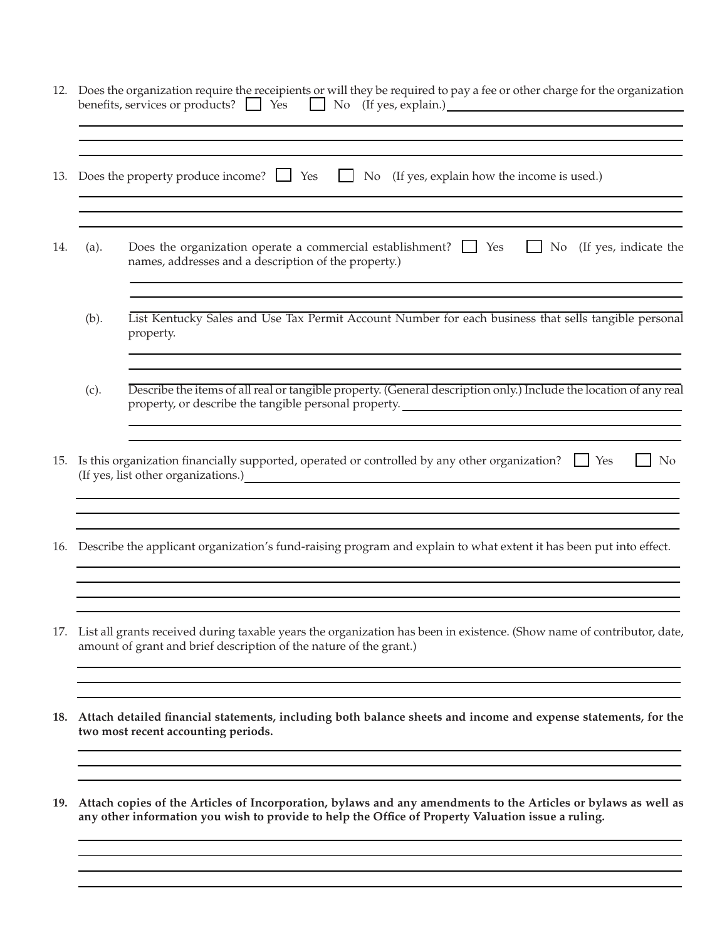| 13. |      |                                                                                                                                                                                                                                                                                                               |
|-----|------|---------------------------------------------------------------------------------------------------------------------------------------------------------------------------------------------------------------------------------------------------------------------------------------------------------------|
|     |      | Does the property produce income? $\Box$ Yes $\Box$ No (If yes, explain how the income is used.)                                                                                                                                                                                                              |
| 14. | (a). | Does the organization operate a commercial establishment? $\Box$ Yes<br>$\Box$ No (If yes, indicate the<br>names, addresses and a description of the property.)                                                                                                                                               |
|     | (b). | List Kentucky Sales and Use Tax Permit Account Number for each business that sells tangible personal<br>property.                                                                                                                                                                                             |
|     | (c). | Describe the items of all real or tangible property. (General description only.) Include the location of any real<br>property, or describe the tangible personal property.<br><u>manuscriptic and the second property</u><br>,我们也不会有一个人的人,我们也不会有一个人的人,我们也不会有一个人的人。""我们的人,我们也不会有一个人的人,我们也不会有一个人的人。""我们的人,我们也不会 |
| 15. |      | Is this organization financially supported, operated or controlled by any other organization? $\Box$ Yes<br>$\vert$ No<br>(If yes, list other organizations.)<br><u> </u>                                                                                                                                     |
| 16. |      | Describe the applicant organization's fund-raising program and explain to what extent it has been put into effect.                                                                                                                                                                                            |
|     |      | 17. List all grants received during taxable years the organization has been in existence. (Show name of contributor, date,<br>amount of grant and brief description of the nature of the grant.)                                                                                                              |
|     |      |                                                                                                                                                                                                                                                                                                               |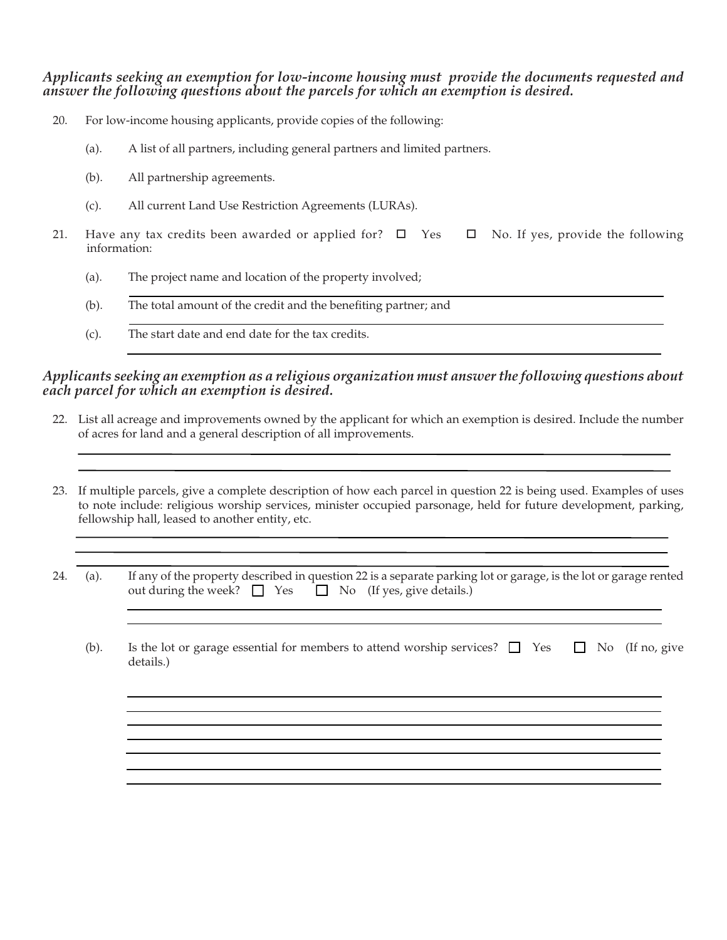*Applicants seeking an exemption for low-income housing must provide the documents requested and answer the following questions about the parcels for which an exemption is desired.*

- 20. For low-income housing applicants, provide copies of the following:
	- (a). A list of all partners, including general partners and limited partners.
	- (b). All partnership agreements.
	- (c). All current Land Use Restriction Agreements (LURAs).
- 21. Have any tax credits been awarded or applied for?  $\Box$  Yes  $\Box$  No. If yes, provide the following information:
	- (a). The project name and location of the property involved;
	- (b). The total amount of the credit and the benefiting partner; and
	- (c). The start date and end date for the tax credits.

## *Applicants seeking an exemption as a religious organization must answer the following questions about each parcel for which an exemption is desired.*

- 22. List all acreage and improvements owned by the applicant for which an exemption is desired. Include the number of acres for land and a general description of all improvements.
- 23. If multiple parcels, give a complete description of how each parcel in question 22 is being used. Examples of uses to note include: religious worship services, minister occupied parsonage, held for future development, parking, fellowship hall, leased to another entity, etc.

| 24. (a). |                                                                   |  |  | If any of the property described in question 22 is a separate parking lot or garage, is the lot or garage rented |
|----------|-------------------------------------------------------------------|--|--|------------------------------------------------------------------------------------------------------------------|
|          | out during the week? $\Box$ Yes $\Box$ No (If yes, give details.) |  |  |                                                                                                                  |

(b). Is the lot or garage essential for members to attend worship services?  $\Box$  Yes  $\Box$  No (If no, give details.)